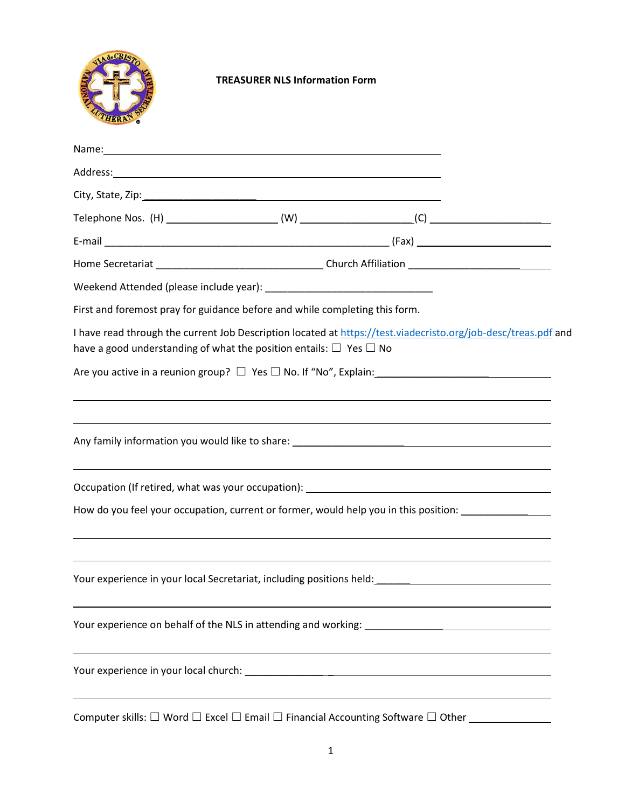

## **TREASURER NLS Information Form**

| Name: Name and the second contract of the second contract of the second contract of the second contract of the second contract of the second contract of the second contract of the second contract of the second contract of  |                                                                                  |  |
|--------------------------------------------------------------------------------------------------------------------------------------------------------------------------------------------------------------------------------|----------------------------------------------------------------------------------|--|
| Address: Address: Address: Address: Address: Address: Address: Address: Address: Address: Address: Address: Address: Address: Address: Address: Address: Address: Address: Address: Address: Address: Address: Address: Addres |                                                                                  |  |
|                                                                                                                                                                                                                                |                                                                                  |  |
|                                                                                                                                                                                                                                |                                                                                  |  |
|                                                                                                                                                                                                                                |                                                                                  |  |
|                                                                                                                                                                                                                                |                                                                                  |  |
|                                                                                                                                                                                                                                |                                                                                  |  |
| First and foremost pray for guidance before and while completing this form.                                                                                                                                                    |                                                                                  |  |
| I have read through the current Job Description located at https://test.viadecristo.org/job-desc/treas.pdf and<br>have a good understanding of what the position entails: $\Box$ Yes $\Box$ No                                 |                                                                                  |  |
|                                                                                                                                                                                                                                |                                                                                  |  |
|                                                                                                                                                                                                                                |                                                                                  |  |
|                                                                                                                                                                                                                                |                                                                                  |  |
|                                                                                                                                                                                                                                |                                                                                  |  |
|                                                                                                                                                                                                                                | ,我们也不会有什么。""我们的人,我们也不会有什么?""我们的人,我们也不会有什么?""我们的人,我们也不会有什么?""我们的人,我们也不会有什么?""我们的人 |  |
|                                                                                                                                                                                                                                |                                                                                  |  |
| How do you feel your occupation, current or former, would help you in this position:                                                                                                                                           |                                                                                  |  |
|                                                                                                                                                                                                                                |                                                                                  |  |
|                                                                                                                                                                                                                                |                                                                                  |  |
|                                                                                                                                                                                                                                |                                                                                  |  |
|                                                                                                                                                                                                                                |                                                                                  |  |
| Computer skills: $\Box$ Word $\Box$ Excel $\Box$ Email $\Box$ Financial Accounting Software $\Box$ Other _                                                                                                                     |                                                                                  |  |